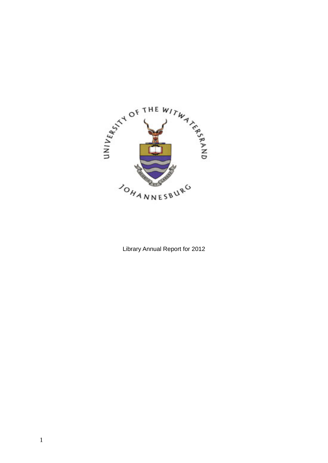

Library Annual Report for 2012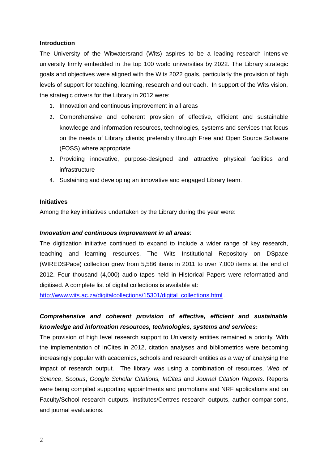## **Introduction**

The University of the Witwatersrand (Wits) aspires to be a leading research intensive university firmly embedded in the top 100 world universities by 2022. The Library strategic goals and objectives were aligned with the Wits 2022 goals, particularly the provision of high levels of support for teaching, learning, research and outreach. In support of the Wits vision, the strategic drivers for the Library in 2012 were:

- 1. Innovation and continuous improvement in all areas
- 2. Comprehensive and coherent provision of effective, efficient and sustainable knowledge and information resources, technologies, systems and services that focus on the needs of Library clients; preferably through Free and Open Source Software (FOSS) where appropriate
- 3. Providing innovative, purpose-designed and attractive physical facilities and infrastructure
- 4. Sustaining and developing an innovative and engaged Library team.

# **Initiatives**

Among the key initiatives undertaken by the Library during the year were:

## *Innovation and continuous improvement in all areas*:

The digitization initiative continued to expand to include a wider range of key research, teaching and learning resources. The Wits Institutional Repository on DSpace (WIREDSPace) collection grew from 5,586 items in 2011 to over 7,000 items at the end of 2012. Four thousand (4,000) audio tapes held in Historical Papers were reformatted and digitised. A complete list of digital collections is available at:

http://www.wits.ac.za/digitalcollections/15301/digital\_collections.html .

# *Comprehensive and coherent provision of effective, efficient and sustainable knowledge and information resources, technologies, systems and services***:**

The provision of high level research support to University entities remained a priority. With the implementation of InCites in 2012, citation analyses and bibliometrics were becoming increasingly popular with academics, schools and research entities as a way of analysing the impact of research output. The library was using a combination of resources, *Web of Science*, *Scopus*, *Google Scholar Citations, InCites* and *Journal Citation Reports*. Reports were being compiled supporting appointments and promotions and NRF applications and on Faculty/School research outputs, Institutes/Centres research outputs, author comparisons, and journal evaluations.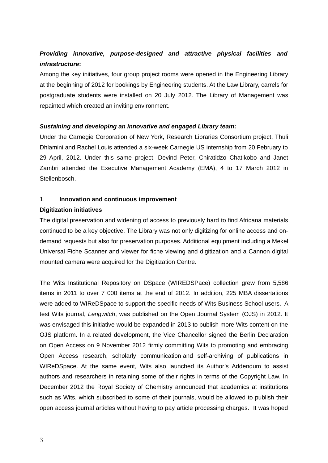# *Providing innovative, purpose-designed and attractive physical facilities and infrastructure***:**

Among the key initiatives, four group project rooms were opened in the Engineering Library at the beginning of 2012 for bookings by Engineering students. At the Law Library, carrels for postgraduate students were installed on 20 July 2012. The Library of Management was repainted which created an inviting environment.

# *Sustaining and developing an innovative and engaged Library team***:**

Under the Carnegie Corporation of New York, Research Libraries Consortium project, Thuli Dhlamini and Rachel Louis attended a six-week Carnegie US internship from 20 February to 29 April, 2012. Under this same project, Devind Peter, Chiratidzo Chatikobo and Janet Zambri attended the Executive Management Academy (EMA), 4 to 17 March 2012 in Stellenbosch.

# 1. **Innovation and continuous improvement**

# **Digitization initiatives**

The digital preservation and widening of access to previously hard to find Africana materials continued to be a key objective. The Library was not only digitizing for online access and ondemand requests but also for preservation purposes. Additional equipment including a Mekel Universal Fiche Scanner and viewer for fiche viewing and digitization and a Cannon digital mounted camera were acquired for the Digitization Centre.

The Wits Institutional Repository on DSpace (WIREDSPace) collection grew from 5,586 items in 2011 to over 7 000 items at the end of 2012. In addition, 225 MBA dissertations were added to WIReDSpace to support the specific needs of Wits Business School users. A test Wits journal, *Lengwitch*, was published on the Open Journal System (OJS) in 2012. It was envisaged this initiative would be expanded in 2013 to publish more Wits content on the OJS platform. In a related development, the Vice Chancellor signed the Berlin Declaration on Open Access on 9 November 2012 firmly committing Wits to promoting and embracing Open Access research, scholarly communication and self-archiving of publications in WIReDSpace. At the same event, Wits also launched its Author's Addendum to assist authors and researchers in retaining some of their rights in terms of the Copyright Law. In December 2012 the Royal Society of Chemistry announced that academics at institutions such as Wits, which subscribed to some of their journals, would be allowed to publish their open access journal articles without having to pay article processing charges. It was hoped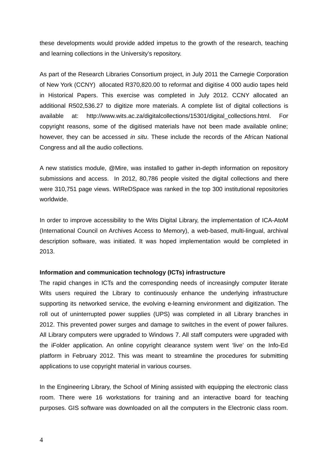these developments would provide added impetus to the growth of the research, teaching and learning collections in the University's repository.

As part of the Research Libraries Consortium project, in July 2011 the Carnegie Corporation of New York (CCNY) allocated R370,820.00 to reformat and digitise 4 000 audio tapes held in Historical Papers. This exercise was completed in July 2012. CCNY allocated an additional R502,536.27 to digitize more materials. A complete list of digital collections is available at: http://www.wits.ac.za/digitalcollections/15301/digital\_collections.html. For copyright reasons, some of the digitised materials have not been made available online; however, they can be accessed *in situ*. These include the records of the African National Congress and all the audio collections.

A new statistics module, @Mire, was installed to gather in-depth information on repository submissions and access. In 2012, 80,786 people visited the digital collections and there were 310,751 page views. WIReDSpace was ranked in the top 300 institutional repositories worldwide.

In order to improve accessibility to the Wits Digital Library, the implementation of ICA-AtoM (International Council on Archives Access to Memory), a web-based, multi-lingual, archival description software, was initiated. It was hoped implementation would be completed in 2013.

#### **Information and communication technology (ICTs) infrastructure**

The rapid changes in ICTs and the corresponding needs of increasingly computer literate Wits users required the Library to continuously enhance the underlying infrastructure supporting its networked service, the evolving e-learning environment and digitization. The roll out of uninterrupted power supplies (UPS) was completed in all Library branches in 2012. This prevented power surges and damage to switches in the event of power failures. All Library computers were upgraded to Windows 7. All staff computers were upgraded with the iFolder application. An online copyright clearance system went 'live' on the Info-Ed platform in February 2012. This was meant to streamline the procedures for submitting applications to use copyright material in various courses.

In the Engineering Library, the School of Mining assisted with equipping the electronic class room. There were 16 workstations for training and an interactive board for teaching purposes. GIS software was downloaded on all the computers in the Electronic class room.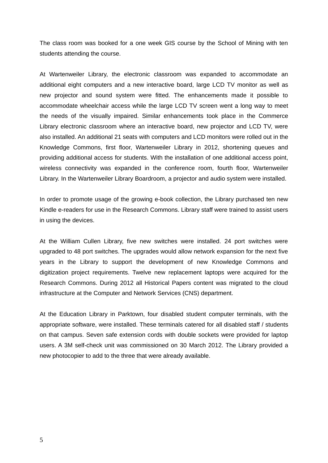The class room was booked for a one week GIS course by the School of Mining with ten students attending the course.

At Wartenweiler Library, the electronic classroom was expanded to accommodate an additional eight computers and a new interactive board, large LCD TV monitor as well as new projector and sound system were fitted. The enhancements made it possible to accommodate wheelchair access while the large LCD TV screen went a long way to meet the needs of the visually impaired. Similar enhancements took place in the Commerce Library electronic classroom where an interactive board, new projector and LCD TV, were also installed. An additional 21 seats with computers and LCD monitors were rolled out in the Knowledge Commons, first floor, Wartenweiler Library in 2012, shortening queues and providing additional access for students. With the installation of one additional access point, wireless connectivity was expanded in the conference room, fourth floor, Wartenweiler Library. In the Wartenweiler Library Boardroom, a projector and audio system were installed.

In order to promote usage of the growing e-book collection, the Library purchased ten new Kindle e-readers for use in the Research Commons. Library staff were trained to assist users in using the devices.

At the William Cullen Library, five new switches were installed. 24 port switches were upgraded to 48 port switches. The upgrades would allow network expansion for the next five years in the Library to support the development of new Knowledge Commons and digitization project requirements. Twelve new replacement laptops were acquired for the Research Commons. During 2012 all Historical Papers content was migrated to the cloud infrastructure at the Computer and Network Services (CNS) department.

At the Education Library in Parktown, four disabled student computer terminals, with the appropriate software, were installed. These terminals catered for all disabled staff / students on that campus. Seven safe extension cords with double sockets were provided for laptop users. A 3M self-check unit was commissioned on 30 March 2012. The Library provided a new photocopier to add to the three that were already available.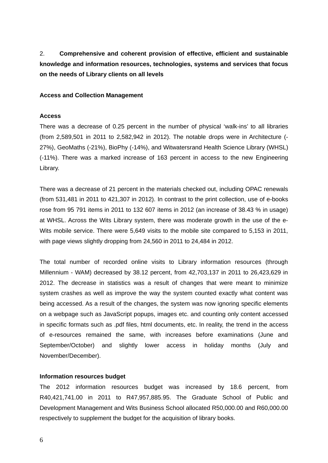2. **Comprehensive and coherent provision of effective, efficient and sustainable knowledge and information resources, technologies, systems and services that focus on the needs of Library clients on all levels**

## **Access and Collection Management**

## **Access**

There was a decrease of 0.25 percent in the number of physical 'walk-ins' to all libraries (from 2,589,501 in 2011 to 2,582,942 in 2012). The notable drops were in Architecture (- 27%), GeoMaths (-21%), BioPhy (-14%), and Witwatersrand Health Science Library (WHSL) (-11%). There was a marked increase of 163 percent in access to the new Engineering Library.

There was a decrease of 21 percent in the materials checked out, including OPAC renewals (from 531,481 in 2011 to 421,307 in 2012). In contrast to the print collection, use of e-books rose from 95 791 items in 2011 to 132 607 items in 2012 (an increase of 38.43 % in usage) at WHSL. Across the Wits Library system, there was moderate growth in the use of the e-Wits mobile service. There were 5,649 visits to the mobile site compared to 5,153 in 2011, with page views slightly dropping from 24,560 in 2011 to 24,484 in 2012.

The total number of recorded online visits to Library information resources (through Millennium - WAM) decreased by 38.12 percent, from 42,703,137 in 2011 to 26,423,629 in 2012. The decrease in statistics was a result of changes that were meant to minimize system crashes as well as improve the way the system counted exactly what content was being accessed. As a result of the changes, the system was now ignoring specific elements on a webpage such as JavaScript popups, images etc. and counting only content accessed in specific formats such as .pdf files, html documents, etc. In reality, the trend in the access of e-resources remained the same, with increases before examinations (June and September/October) and slightly lower access in holiday months (July and November/December).

## **Information resources budget**

The 2012 information resources budget was increased by 18.6 percent, from R40,421,741.00 in 2011 to R47,957,885.95. The Graduate School of Public and Development Management and Wits Business School allocated R50,000.00 and R60,000.00 respectively to supplement the budget for the acquisition of library books.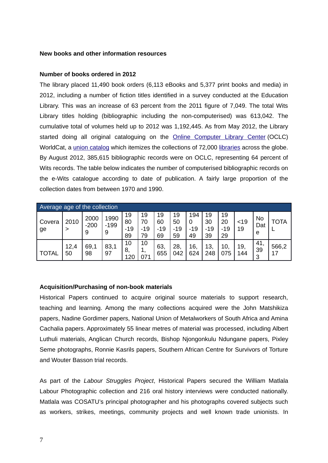## **New books and other information resources**

## **Number of books ordered in 2012**

The library placed 11,490 book orders (6,113 eBooks and 5,377 print books and media) in 2012, including a number of fiction titles identified in a survey conducted at the Education Library. This was an increase of 63 percent from the 2011 figure of 7,049. The total Wits Library titles holding (bibliographic including the non-computerised) was 613,042. The cumulative total of volumes held up to 2012 was 1,192,445. As from May 2012, the Library started doing all original cataloguing on the Online Computer Library Center (OCLC) WorldCat, a union catalog which itemizes the collections of 72,000 libraries across the globe. By August 2012, 385,615 bibliographic records were on OCLC, representing 64 percent of Wits records. The table below indicates the number of computerised bibliographic records on the e-Wits catalogue according to date of publication. A fairly large proportion of the collection dates from between 1970 and 1990.

| Average age of the collection |            |                     |                     |                         |                         |                         |                         |                         |                         |                         |            |                       |             |
|-------------------------------|------------|---------------------|---------------------|-------------------------|-------------------------|-------------------------|-------------------------|-------------------------|-------------------------|-------------------------|------------|-----------------------|-------------|
| Covera<br>ge                  | 2010<br>>  | 2000<br>$-200$<br>9 | 1990<br>$-199$<br>9 | 19<br>80<br>$-19$<br>89 | 19<br>70<br>$-19$<br>79 | 19<br>60<br>$-19$<br>69 | 19<br>50<br>$-19$<br>59 | 194<br>0<br>$-19$<br>49 | 19<br>30<br>$-19$<br>39 | 19<br>20<br>$-19$<br>29 | < 19<br>19 | <b>No</b><br>Dat<br>e | ТОТА        |
| <b>TOTAL</b>                  | 12,4<br>50 | 69,1<br>98          | 83,1<br>97          | 10<br>8.<br>120         | 10<br>071               | 63<br>655               | 28,<br>042              | 16,<br>624              | 13,<br>248              | 10.<br>075              | 19,<br>144 | 41,<br>39<br>3        | 566,2<br>17 |

## **Acquisition/Purchasing of non-book materials**

Historical Papers continued to acquire original source materials to support research, teaching and learning. Among the many collections acquired were the John Matshikiza papers, Nadine Gordimer papers, National Union of Metalworkers of South Africa and Amina Cachalia papers. Approximately 55 linear metres of material was processed, including Albert Luthuli materials, Anglican Church records, Bishop Njongonkulu Ndungane papers, Pixley Seme photographs, Ronnie Kasrils papers, Southern African Centre for Survivors of Torture and Wouter Basson trial records.

As part of the *Labour Struggles Project*, Historical Papers secured the William Matlala Labour Photographic collection and 216 oral history interviews were conducted nationally. Matlala was COSATU's principal photographer and his photographs covered subjects such as workers, strikes, meetings, community projects and well known trade unionists. In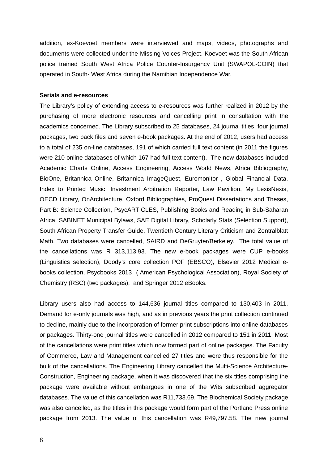addition, ex-Koevoet members were interviewed and maps, videos, photographs and documents were collected under the Missing Voices Project. Koevoet was the South African police trained South West Africa Police Counter-Insurgency Unit (SWAPOL-COIN) that operated in South- West Africa during the Namibian Independence War.

### **Serials and e-resources**

The Library's policy of extending access to e-resources was further realized in 2012 by the purchasing of more electronic resources and cancelling print in consultation with the academics concerned. The Library subscribed to 25 databases, 24 journal titles, four journal packages, two back files and seven e-book packages. At the end of 2012, users had access to a total of 235 on-line databases, 191 of which carried full text content (in 2011 the figures were 210 online databases of which 167 had full text content). The new databases included Academic Charts Online, Access Engineering, Access World News, Africa Bibliography, BioOne, Britannica Online, Britannica ImageQuest, Euromonitor , Global Financial Data, Index to Printed Music, Investment Arbitration Reporter, Law Pavillion, My LexisNexis, OECD Library, OnArchitecture, Oxford Bibliographies, ProQuest Dissertations and Theses, Part B: Science Collection, PsycARTICLES, Publishing Books and Reading in Sub-Saharan Africa, SABINET Municipal Bylaws, SAE Digital Library, Scholarly Stats (Selection Support), South African Property Transfer Guide, Twentieth Century Literary Criticism and Zentralblatt Math. Two databases were cancelled, SAIRD and DeGruyter/Berkeley. The total value of the cancellations was R 313,113.93. The new e-book packages were CUP e-books (Linguistics selection), Doody's core collection POF (EBSCO), Elsevier 2012 Medical ebooks collection, Psycbooks 2013 ( American Psychological Association), Royal Society of Chemistry (RSC) (two packages), and Springer 2012 eBooks.

Library users also had access to 144,636 journal titles compared to 130,403 in 2011. Demand for e-only journals was high, and as in previous years the print collection continued to decline, mainly due to the incorporation of former print subscriptions into online databases or packages. Thirty-one journal titles were cancelled in 2012 compared to 151 in 2011. Most of the cancellations were print titles which now formed part of online packages. The Faculty of Commerce, Law and Management cancelled 27 titles and were thus responsible for the bulk of the cancellations. The Engineering Library cancelled the Multi-Science Architecture-Construction, Engineering package, when it was discovered that the six titles comprising the package were available without embargoes in one of the Wits subscribed aggregator databases. The value of this cancellation was R11,733.69. The Biochemical Society package was also cancelled, as the titles in this package would form part of the Portland Press online package from 2013. The value of this cancellation was R49,797.58. The new journal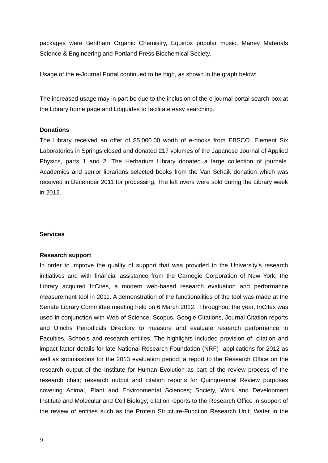packages were Bentham Organic Chemistry, Equinox popular music, Maney Materials Science & Engineering and Portland Press Biochemical Society.

Usage of the e-Journal Portal continued to be high, as shown in the graph below:

The increased usage may in part be due to the inclusion of the e-journal portal search-box at the Library home page and Libguides to facilitate easy searching.

# **Donations**

The Library received an offer of \$5,000.00 worth of e-books from EBSCO. Element Six Laboratories in Springs closed and donated 217 volumes of the Japanese Journal of Applied Physics, parts 1 and 2. The Herbarium Library donated a large collection of journals. Academics and senior librarians selected books from the Van Schaik donation which was received in December 2011 for processing. The left overs were sold during the Library week in 2012.

## **Services**

## **Research support**

In order to improve the quality of support that was provided to the University's research initiatives and with financial assistance from the Carnegie Corporation of New York, the Library acquired InCites, a modern web-based research evaluation and performance measurement tool in 2011. A demonstration of the functionalities of the tool was made at the Senate Library Committee meeting held on 6 March 2012. Throughout the year, InCites was used in conjunction with Web of Science, Scopus, Google Citations, Journal Citation reports and Ulrichs Periodicals Directory to measure and evaluate research performance in Faculties, Schools and research entities. The highlights included provision of: citation and impact factor details for late National Research Foundation (NRF) applications for 2012 as well as submissions for the 2013 evaluation period; a report to the Research Office on the research output of the Institute for Human Evolution as part of the review process of the research chair; research output and citation reports for Quinquennial Review purposes covering Animal, Plant and Environmental Sciences; Society, Work and Development Institute and Molecular and Cell Biology; citation reports to the Research Office in support of the review of entities such as the Protein Structure-Function Research Unit; Water in the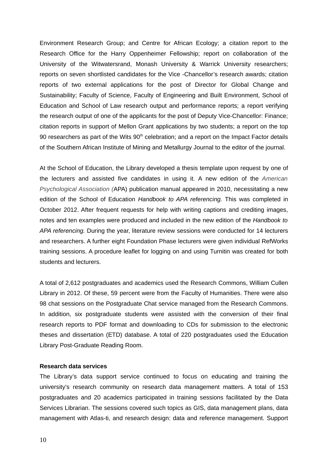Environment Research Group; and Centre for African Ecology; a citation report to the Research Office for the Harry Oppenheimer Fellowship; report on collaboration of the University of the Witwatersrand, Monash University & Warrick University researchers; reports on seven shortlisted candidates for the Vice -Chancellor's research awards; citation reports of two external applications for the post of Director for Global Change and Sustainability; Faculty of Science, Faculty of Engineering and Built Environment, School of Education and School of Law research output and performance reports; a report verifying the research output of one of the applicants for the post of Deputy Vice-Chancellor: Finance; citation reports in support of Mellon Grant applications by two students; a report on the top 90 researchers as part of the Wits  $90<sup>th</sup>$  celebration; and a report on the Impact Factor details of the Southern African Institute of Mining and Metallurgy Journal to the editor of the journal.

At the School of Education, the Library developed a thesis template upon request by one of the lecturers and assisted five candidates in using it. A new edition of the *American Psychological Association (*APA) publication manual appeared in 2010, necessitating a new edition of the School of Education *Handbook to APA referencing.* This was completed in October 2012. After frequent requests for help with writing captions and crediting images, notes and ten examples were produced and included in the new edition of the *Handbook to APA referencing.* During the year, literature review sessions were conducted for 14 lecturers and researchers. A further eight Foundation Phase lecturers were given individual RefWorks training sessions. A procedure leaflet for logging on and using Turnitin was created for both students and lecturers.

A total of 2,612 postgraduates and academics used the Research Commons, William Cullen Library in 2012. Of these, 59 percent were from the Faculty of Humanities. There were also 98 chat sessions on the Postgraduate Chat service managed from the Research Commons. In addition, six postgraduate students were assisted with the conversion of their final research reports to PDF format and downloading to CDs for submission to the electronic theses and dissertation (ETD) database. A total of 220 postgraduates used the Education Library Post-Graduate Reading Room.

## **Research data services**

The Library's data support service continued to focus on educating and training the university's research community on research data management matters. A total of 153 postgraduates and 20 academics participated in training sessions facilitated by the Data Services Librarian. The sessions covered such topics as GIS, data management plans, data management with Atlas-ti, and research design: data and reference management. Support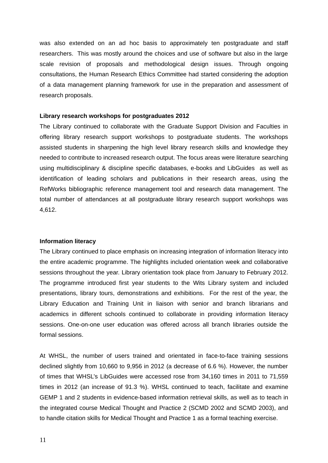was also extended on an ad hoc basis to approximately ten postgraduate and staff researchers. This was mostly around the choices and use of software but also in the large scale revision of proposals and methodological design issues. Through ongoing consultations, the Human Research Ethics Committee had started considering the adoption of a data management planning framework for use in the preparation and assessment of research proposals.

## **Library research workshops for postgraduates 2012**

The Library continued to collaborate with the Graduate Support Division and Faculties in offering library research support workshops to postgraduate students. The workshops assisted students in sharpening the high level library research skills and knowledge they needed to contribute to increased research output. The focus areas were literature searching using multidisciplinary & discipline specific databases, e-books and LibGuides as well as identification of leading scholars and publications in their research areas, using the RefWorks bibliographic reference management tool and research data management. The total number of attendances at all postgraduate library research support workshops was 4,612.

## **Information literacy**

The Library continued to place emphasis on increasing integration of information literacy into the entire academic programme. The highlights included orientation week and collaborative sessions throughout the year. Library orientation took place from January to February 2012. The programme introduced first year students to the Wits Library system and included presentations, library tours, demonstrations and exhibitions. For the rest of the year, the Library Education and Training Unit in liaison with senior and branch librarians and academics in different schools continued to collaborate in providing information literacy sessions. One-on-one user education was offered across all branch libraries outside the formal sessions.

At WHSL, the number of users trained and orientated in face-to-face training sessions declined slightly from 10,660 to 9,956 in 2012 (a decrease of 6.6 %). However, the number of times that WHSL's LibGuides were accessed rose from 34,160 times in 2011 to 71,559 times in 2012 (an increase of 91.3 %). WHSL continued to teach, facilitate and examine GEMP 1 and 2 students in evidence-based information retrieval skills, as well as to teach in the integrated course Medical Thought and Practice 2 (SCMD 2002 and SCMD 2003), and to handle citation skills for Medical Thought and Practice 1 as a formal teaching exercise.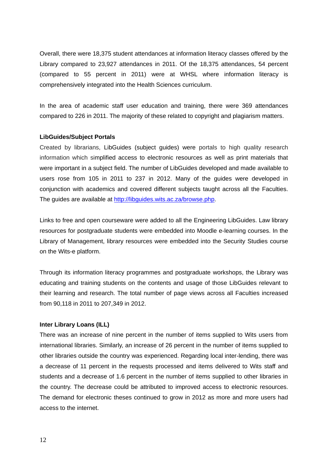Overall, there were 18,375 student attendances at information literacy classes offered by the Library compared to 23,927 attendances in 2011. Of the 18,375 attendances, 54 percent (compared to 55 percent in 2011) were at WHSL where information literacy is comprehensively integrated into the Health Sciences curriculum.

In the area of academic staff user education and training, there were 369 attendances compared to 226 in 2011. The majority of these related to copyright and plagiarism matters.

## **LibGuides/Subject Portals**

Created by librarians, LibGuides (subject guides) were portals to high quality research information which simplified access to electronic resources as well as print materials that were important in a subject field. The number of LibGuides developed and made available to users rose from 105 in 2011 to 237 in 2012. Many of the guides were developed in conjunction with academics and covered different subjects taught across all the Faculties. The guides are available at http://libguides.wits.ac.za/browse.php.

Links to free and open courseware were added to all the Engineering LibGuides. Law library resources for postgraduate students were embedded into Moodle e-learning courses. In the Library of Management, library resources were embedded into the Security Studies course on the Wits-e platform.

Through its information literacy programmes and postgraduate workshops, the Library was educating and training students on the contents and usage of those LibGuides relevant to their learning and research. The total number of page views across all Faculties increased from 90,118 in 2011 to 207,349 in 2012.

## **Inter Library Loans (ILL)**

There was an increase of nine percent in the number of items supplied to Wits users from international libraries. Similarly, an increase of 26 percent in the number of items supplied to other libraries outside the country was experienced. Regarding local inter-lending, there was a decrease of 11 percent in the requests processed and items delivered to Wits staff and students and a decrease of 1.6 percent in the number of items supplied to other libraries in the country. The decrease could be attributed to improved access to electronic resources. The demand for electronic theses continued to grow in 2012 as more and more users had access to the internet.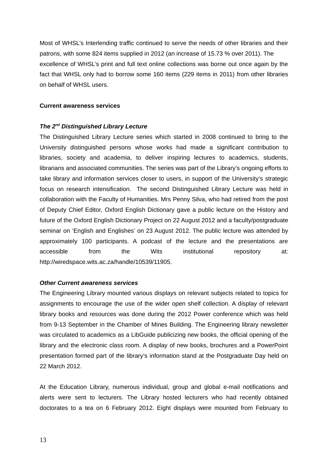Most of WHSL's Interlending traffic continued to serve the needs of other libraries and their patrons, with some 824 items supplied in 2012 (an increase of 15.73 % over 2011). The excellence of WHSL's print and full text online collections was borne out once again by the fact that WHSL only had to borrow some 160 items (229 items in 2011) from other libraries on behalf of WHSL users.

## **Current awareness services**

# *The 2nd Distinguished Library Lecture*

The Distinguished Library Lecture series which started in 2008 continued to bring to the University distinguished persons whose works had made a significant contribution to libraries, society and academia, to deliver inspiring lectures to academics, students, librarians and associated communities. The series was part of the Library's ongoing efforts to take library and information services closer to users, in support of the University's strategic focus on research intensification. The second Distinguished Library Lecture was held in collaboration with the Faculty of Humanities. Mrs Penny Silva, who had retired from the post of Deputy Chief Editor, Oxford English Dictionary gave a public lecture on the History and future of the Oxford English Dictionary Project on 22 August 2012 and a faculty/postgraduate seminar on 'English and Englishes' on 23 August 2012. The public lecture was attended by approximately 100 participants. A podcast of the lecture and the presentations are accessible from the Wits institutional repository at: http://wiredspace.wits.ac.za/handle/10539/11905.

# *Other Current awareness services*

The Engineering Library mounted various displays on relevant subjects related to topics for assignments to encourage the use of the wider open shelf collection. A display of relevant library books and resources was done during the 2012 Power conference which was held from 9-13 September in the Chamber of Mines Building. The Engineering library newsletter was circulated to academics as a LibGuide publicizing new books, the official opening of the library and the electronic class room. A display of new books, brochures and a PowerPoint presentation formed part of the library's information stand at the Postgraduate Day held on 22 March 2012.

At the Education Library, numerous individual, group and global e-mail notifications and alerts were sent to lecturers. The Library hosted lecturers who had recently obtained doctorates to a tea on 6 February 2012. Eight displays were mounted from February to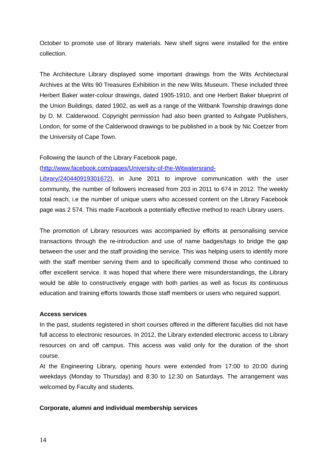October to promote use of library materials. New shelf signs were installed for the entire collection.

The Architecture Library displayed some important drawings from the Wits Architectural Archives at the Wits 90 Treasures Exhibition in the new Wits Museum. These included three Herbert Baker water-colour drawings, dated 1905-1910, and one Herbert Baker blueprint of the Union Buildings, dated 1902, as well as a range of the Witbank Township drawings done by D. M. Calderwood. Copyright permission had also been granted to Ashgate Publishers, London, for some of the Calderwood drawings to be published in a book by Nic Coetzer from the University of Cape Town.

Following the launch of the Library Facebook page,

## (http://www.facebook.com/pages/University-of-the-Witwatersrand-

Library/240440919301672), in June 2011 to improve communication with the user community, the number of followers increased from 203 in 2011 to 674 in 2012. The weekly total reach, i.e the number of unique users who accessed content on the Library Facebook page was 2 574. This made Facebook a potentially effective method to reach Library users.

The promotion of Library resources was accompanied by efforts at personalising service transactions through the re-introduction and use of name badges/tags to bridge the gap between the user and the staff providing the service. This was helping users to identify more with the staff member serving them and to specifically commend those who continued to offer excellent service. It was hoped that where there were misunderstandings, the Library would be able to constructively engage with both parties as well as focus its continuous education and training efforts towards those staff members or users who required support.

## **Access services**

In the past, students registered in short courses offered in the different faculties did not have full access to electronic resources. In 2012, the Library extended electronic access to Library resources on and off campus. This access was valid only for the duration of the short course.

At the Engineering Library, opening hours were extended from 17:00 to 20:00 during weekdays (Monday to Thursday) and 8:30 to 12:30 on Saturdays. The arrangement was welcomed by Faculty and students.

## **Corporate, alumni and individual membership services**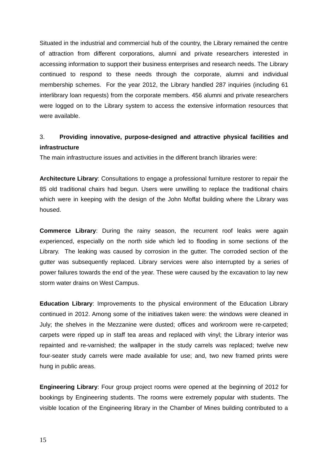Situated in the industrial and commercial hub of the country, the Library remained the centre of attraction from different corporations, alumni and private researchers interested in accessing information to support their business enterprises and research needs. The Library continued to respond to these needs through the corporate, alumni and individual membership schemes. For the year 2012, the Library handled 287 inquiries (including 61 interlibrary loan requests) from the corporate members. 456 alumni and private researchers were logged on to the Library system to access the extensive information resources that were available.

# 3. **Providing innovative, purpose-designed and attractive physical facilities and infrastructure**

The main infrastructure issues and activities in the different branch libraries were:

**Architecture Library**: Consultations to engage a professional furniture restorer to repair the 85 old traditional chairs had begun. Users were unwilling to replace the traditional chairs which were in keeping with the design of the John Moffat building where the Library was housed.

**Commerce Library**: During the rainy season, the recurrent roof leaks were again experienced, especially on the north side which led to flooding in some sections of the Library. The leaking was caused by corrosion in the gutter. The corroded section of the gutter was subsequently replaced. Library services were also interrupted by a series of power failures towards the end of the year. These were caused by the excavation to lay new storm water drains on West Campus.

**Education Library**: Improvements to the physical environment of the Education Library continued in 2012. Among some of the initiatives taken were: the windows were cleaned in July; the shelves in the Mezzanine were dusted; offices and workroom were re-carpeted; carpets were ripped up in staff tea areas and replaced with vinyl; the Library interior was repainted and re-varnished; the wallpaper in the study carrels was replaced; twelve new four-seater study carrels were made available for use; and, two new framed prints were hung in public areas.

**Engineering Library**: Four group project rooms were opened at the beginning of 2012 for bookings by Engineering students. The rooms were extremely popular with students. The visible location of the Engineering library in the Chamber of Mines building contributed to a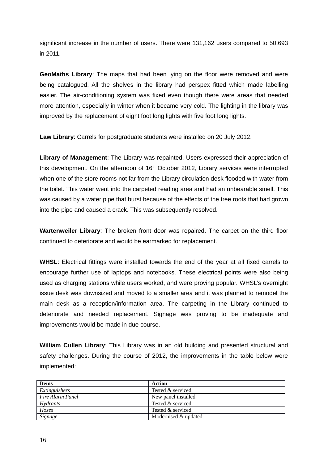significant increase in the number of users. There were 131,162 users compared to 50,693 in 2011.

**GeoMaths Library**: The maps that had been lying on the floor were removed and were being catalogued. All the shelves in the library had perspex fitted which made labelling easier. The air-conditioning system was fixed even though there were areas that needed more attention, especially in winter when it became very cold. The lighting in the library was improved by the replacement of eight foot long lights with five foot long lights.

**Law Library**: Carrels for postgraduate students were installed on 20 July 2012.

**Library of Management**: The Library was repainted. Users expressed their appreciation of this development. On the afternoon of  $16<sup>th</sup>$  October 2012, Library services were interrupted when one of the store rooms not far from the Library circulation desk flooded with water from the toilet. This water went into the carpeted reading area and had an unbearable smell. This was caused by a water pipe that burst because of the effects of the tree roots that had grown into the pipe and caused a crack. This was subsequently resolved.

**Wartenweiler Library**: The broken front door was repaired. The carpet on the third floor continued to deteriorate and would be earmarked for replacement.

**WHSL**: Electrical fittings were installed towards the end of the year at all fixed carrels to encourage further use of laptops and notebooks. These electrical points were also being used as charging stations while users worked, and were proving popular. WHSL's overnight issue desk was downsized and moved to a smaller area and it was planned to remodel the main desk as a reception/information area. The carpeting in the Library continued to deteriorate and needed replacement. Signage was proving to be inadequate and improvements would be made in due course.

**William Cullen Library**: This Library was in an old building and presented structural and safety challenges. During the course of 2012, the improvements in the table below were implemented:

| <b>Items</b>     | Action               |
|------------------|----------------------|
| Extinguishers    | Tested & serviced    |
| Fire Alarm Panel | New panel installed  |
| Hydrants         | Tested & serviced    |
| Hoses            | Tested & serviced    |
| Signage          | Modernised & updated |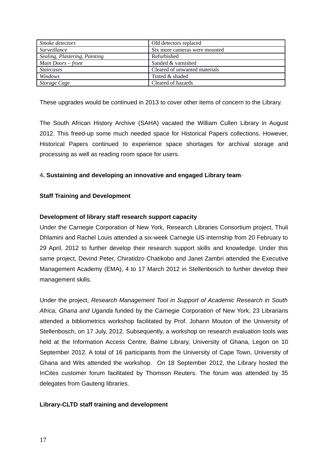| <i>Smoke detectors</i>        | Old detectors replaced        |
|-------------------------------|-------------------------------|
| <i>Surveillance</i>           | Six more cameras were mounted |
| Sealing, Plastering, Painting | Refurbished                   |
| Main Doors – front            | Sanded & varnished            |
| <i>Staircases</i>             | Cleared of unwanted materials |
| Windows                       | Tinted & shaded               |
| Storage Cage                  | Cleared of hazards            |

These upgrades would be continued in 2013 to cover other items of concern to the Library.

The South African History Archive (SAHA) vacated the William Cullen Library in August 2012. This freed-up some much needed space for Historical Papers collections. However, Historical Papers continued to experience space shortages for archival storage and processing as well as reading room space for users.

# 4**. Sustaining and developing an innovative and engaged Library team**

# **Staff Training and Development**

# **Development of library staff research support capacity**

Under the Carnegie Corporation of New York, Research Libraries Consortium project, Thuli Dhlamini and Rachel Louis attended a six-week Carnegie US internship from 20 February to 29 April, 2012 to further develop their research support skills and knowledge. Under this same project, Devind Peter, Chiratidzo Chatikobo and Janet Zambri attended the Executive Management Academy (EMA), 4 to 17 March 2012 in Stellenbosch to further develop their management skills.

Under the project, *Research Management Tool in Support of Academic Research in South Africa, Ghana and Uganda* funded by the Carnegie Corporation of New York, 23 Librarians attended a bibliometrics workshop facilitated by Prof. Johann Mouton of the University of Stellenbosch, on 17 July, 2012. Subsequently, a workshop on research evaluation tools was held at the Information Access Centre, Balme Library, University of Ghana, Legon on 10 September 2012. A total of 16 participants from the University of Cape Town, University of Ghana and Wits attended the workshop. On 18 September 2012, the Library hosted the InCites customer forum facilitated by Thomson Reuters. The forum was attended by 35 delegates from Gauteng libraries.

# **Library-CLTD staff training and development**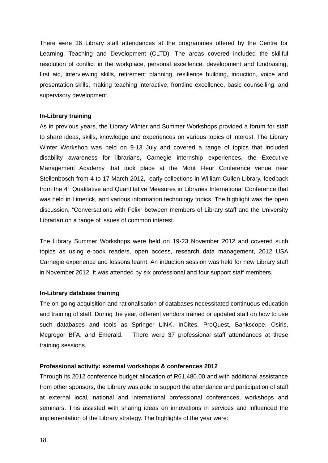There were 36 Library staff attendances at the programmes offered by the Centre for Learning, Teaching and Development (CLTD). The areas covered included the skillful resolution of conflict in the workplace, personal excellence, development and fundraising, first aid, interviewing skills, retirement planning, resilience building, induction, voice and presentation skills, making teaching interactive, frontline excellence, basic counselling, and supervisory development.

## **In-Library training**

As in previous years, the Library Winter and Summer Workshops provided a forum for staff to share ideas, skills, knowledge and experiences on various topics of interest. The Library Winter Workshop was held on 9-13 July and covered a range of topics that included disability awareness for librarians, Carnegie internship experiences, the Executive Management Academy that took place at the Mont Fleur Conference venue near Stellenbosch from 4 to 17 March 2012, early collections in William Cullen Library, feedback from the 4<sup>th</sup> Qualitative and Quantitative Measures in Libraries International Conference that was held in Limerick, and various information technology topics. The highlight was the open discussion, "Conversations with Felix" between members of Library staff and the University Librarian on a range of issues of common interest.

The Library Summer Workshops were held on 19-23 November 2012 and covered such topics as using e-book readers, open access, research data management, 2012 USA Carnegie experience and lessons learnt. An induction session was held for new Library staff in November 2012. It was attended by six professional and four support staff members.

# **In-Library database training**

The on-going acquisition and rationalisation of databases necessitated continuous education and training of staff. During the year, different vendors trained or updated staff on how to use such databases and tools as Springer LINK, InCites, ProQuest, Bankscope, Osiris, Mcgregor BFA, and Emerald. There were 37 professional staff attendances at these training sessions.

# **Professional activity: external workshops & conferences 2012**

Through its 2012 conference budget allocation of R61,480.00 and with additional assistance from other sponsors, the Library was able to support the attendance and participation of staff at external local, national and international professional conferences, workshops and seminars. This assisted with sharing ideas on innovations in services and influenced the implementation of the Library strategy. The highlights of the year were: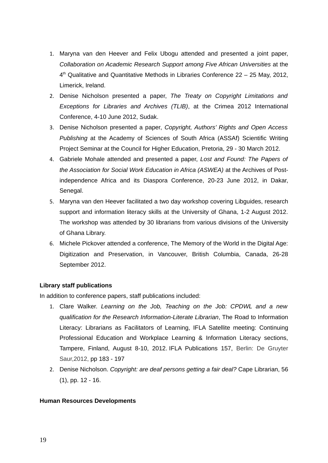- 1. Maryna van den Heever and Felix Ubogu attended and presented a joint paper, *Collaboration on Academic Research Support among Five African Universities* at the  $4<sup>th</sup>$  Qualitative and Quantitative Methods in Libraries Conference 22 – 25 May, 2012, Limerick, Ireland.
- 2. Denise Nicholson presented a paper, *The Treaty on Copyright Limitations and Exceptions for Libraries and Archives (TLIB)*, at the Crimea 2012 International Conference, 4-10 June 2012, Sudak.
- 3. Denise Nicholson presented a paper, *Copyright, Authors' Rights and Open Access Publishing* at the Academy of Sciences of South Africa (ASSAf) Scientific Writing Project Seminar at the Council for Higher Education, Pretoria, 29 - 30 March 2012.
- 4. Gabriele Mohale attended and presented a paper, *Lost and Found: The Papers of the Association for Social Work Education in Africa (ASWEA)* at the Archives of Postindependence Africa and its Diaspora Conference, 20-23 June 2012, in Dakar, Senegal.
- 5. Maryna van den Heever facilitated a two day workshop covering Libguides, research support and information literacy skills at the University of Ghana, 1-2 August 2012. The workshop was attended by 30 librarians from various divisions of the University of Ghana Library.
- 6. Michele Pickover attended a conference, The Memory of the World in the Digital Age: Digitization and Preservation, in Vancouver, British Columbia, Canada, 26-28 September 2012.

# **Library staff publications**

In addition to conference papers, staff publications included:

- 1. Clare Walker. *Learning on the Job, Teaching on the Job: CPDWL and a new qualification for the Research Information-Literate Librarian*, The Road to Information Literacy: Librarians as Facilitators of Learning, IFLA Satellite meeting: Continuing Professional Education and Workplace Learning & Information Literacy sections, Tampere, Finland, August 8-10, 2012. IFLA Publications 157, Berlin: De Gruyter Saur,2012, pp 183 - 197
- 2. Denise Nicholson. *Copyright: are deaf persons getting a fair deal?* Cape Librarian, 56 (1), pp. 12 - 16.

# **Human Resources Developments**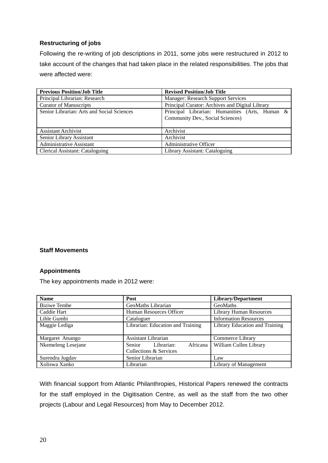# **Restructuring of jobs**

Following the re-writing of job descriptions in 2011, some jobs were restructured in 2012 to take account of the changes that had taken place in the related responsibilities. The jobs that were affected were:

| <b>Previous Position/Job Title</b>         | <b>Revised Position/Job Title</b>                                                  |  |  |  |
|--------------------------------------------|------------------------------------------------------------------------------------|--|--|--|
| Principal Librarian: Research              | <b>Manager: Research Support Services</b>                                          |  |  |  |
| <b>Curator of Manuscripts</b>              | Principal Curator: Archives and Digital Library                                    |  |  |  |
| Senior Librarian: Arts and Social Sciences | Principal Librarian: Humanities (Arts, Human &<br>Community Dev., Social Sciences) |  |  |  |
| <b>Assistant Archivist</b>                 | Archivist                                                                          |  |  |  |
| Senior Library Assistant                   | Archivist                                                                          |  |  |  |
| <b>Administrative Assistant</b>            | Administrative Officer                                                             |  |  |  |
| <b>Clerical Assistant: Cataloguing</b>     | Library Assistant: Cataloguing                                                     |  |  |  |

# **Staff Movements**

# **Appointments**

The key appointments made in 2012 were:

| <b>Name</b>         | Post                                    | Library/Department             |  |  |
|---------------------|-----------------------------------------|--------------------------------|--|--|
| <b>Biziwe Tembe</b> | GeoMaths Librarian                      | GeoMaths                       |  |  |
| Caddie Hart         | Human Resources Officer                 | <b>Library Human Resources</b> |  |  |
| Lihle Gumbi         | Cataloguer                              | <b>Information Resources</b>   |  |  |
| Maggie Lediga       | Librarian: Education and Training       | Library Education and Training |  |  |
|                     |                                         |                                |  |  |
| Margaret Atsango    | Assistant Librarian                     | Commerce Library               |  |  |
| Nkemeleng Lesejane  | Africana<br>Librarian:<br><b>Senior</b> | William Cullen Library         |  |  |
|                     | Collections & Services                  |                                |  |  |
| Surendra Jugdav     | Senior Librarian                        | Law                            |  |  |
| Xoliswa Xanko       | Librarian                               | Library of Management          |  |  |

With financial support from Atlantic Philanthropies, Historical Papers renewed the contracts for the staff employed in the Digitisation Centre, as well as the staff from the two other projects (Labour and Legal Resources) from May to December 2012.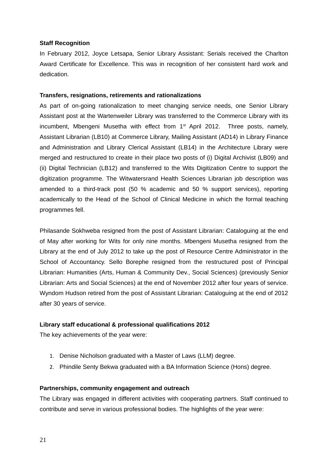# **Staff Recognition**

In February 2012, Joyce Letsapa, Senior Library Assistant: Serials received the Charlton Award Certificate for Excellence. This was in recognition of her consistent hard work and dedication.

## **Transfers, resignations, retirements and rationalizations**

As part of on-going rationalization to meet changing service needs, one Senior Library Assistant post at the Wartenweiler Library was transferred to the Commerce Library with its incumbent, Mbengeni Musetha with effect from 1<sup>st</sup> April 2012. Three posts, namely, Assistant Librarian (LB10) at Commerce Library, Mailing Assistant (AD14) in Library Finance and Administration and Library Clerical Assistant (LB14) in the Architecture Library were merged and restructured to create in their place two posts of (i) Digital Archivist (LB09) and (ii) Digital Technician (LB12) and transferred to the Wits Digitization Centre to support the digitization programme. The Witwatersrand Health Sciences Librarian job description was amended to a third-track post (50 % academic and 50 % support services), reporting academically to the Head of the School of Clinical Medicine in which the formal teaching programmes fell.

Philasande Sokhweba resigned from the post of Assistant Librarian: Cataloguing at the end of May after working for Wits for only nine months. Mbengeni Musetha resigned from the Library at the end of July 2012 to take up the post of Resource Centre Administrator in the School of Accountancy. Sello Borephe resigned from the restructured post of Principal Librarian: Humanities (Arts, Human & Community Dev., Social Sciences) (previously Senior Librarian: Arts and Social Sciences) at the end of November 2012 after four years of service. Wyndom Hudson retired from the post of Assistant Librarian: Cataloguing at the end of 2012 after 30 years of service.

# **Library staff educational & professional qualifications 2012**

The key achievements of the year were:

- 1. Denise Nicholson graduated with a Master of Laws (LLM) degree.
- 2. Phindile Senty Bekwa graduated with a BA Information Science (Hons) degree.

# **Partnerships, community engagement and outreach**

The Library was engaged in different activities with cooperating partners. Staff continued to contribute and serve in various professional bodies. The highlights of the year were: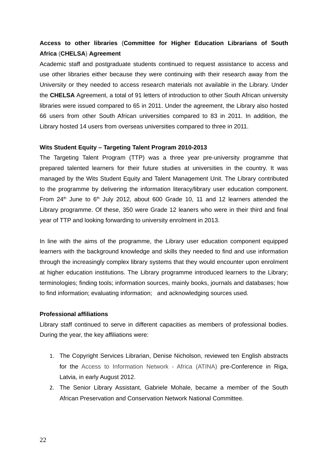# **Access to other libraries** (**Committee for Higher Education Librarians of South Africa** (**CHELSA**) **Agreement**

Academic staff and postgraduate students continued to request assistance to access and use other libraries either because they were continuing with their research away from the University or they needed to access research materials not available in the Library. Under the **CHELSA** Agreement, a total of 91 letters of introduction to other South African university libraries were issued compared to 65 in 2011. Under the agreement, the Library also hosted 66 users from other South African universities compared to 83 in 2011. In addition, the Library hosted 14 users from overseas universities compared to three in 2011.

## **Wits Student Equity – Targeting Talent Program 2010-2013**

The Targeting Talent Program (TTP) was a three year pre-university programme that prepared talented learners for their future studies at universities in the country. It was managed by the Wits Student Equity and Talent Management Unit. The Library contributed to the programme by delivering the information literacy/library user education component. From  $24<sup>th</sup>$  June to  $6<sup>th</sup>$  July 2012, about 600 Grade 10, 11 and 12 learners attended the Library programme. Of these, 350 were Grade 12 leaners who were in their third and final year of TTP and looking forwarding to university enrolment in 2013.

In line with the aims of the programme, the Library user education component equipped learners with the background knowledge and skills they needed to find and use information through the increasingly complex library systems that they would encounter upon enrolment at higher education institutions. The Library programme introduced learners to the Library; terminologies; finding tools; information sources, mainly books, journals and databases; how to find information; evaluating information; and acknowledging sources used.

## **Professional affiliations**

Library staff continued to serve in different capacities as members of professional bodies. During the year, the key affiliations were:

- 1. The Copyright Services Librarian, Denise Nicholson, reviewed ten English abstracts for the Access to Information Network - Africa (ATINA) pre-Conference in Riga, Latvia, in early August 2012.
- 2. The Senior Library Assistant, Gabriele Mohale, became a member of the South African Preservation and Conservation Network National Committee.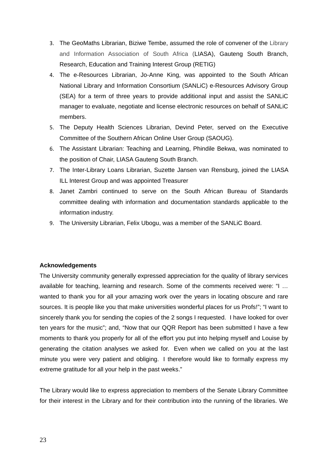- 3. The GeoMaths Librarian, Biziwe Tembe, assumed the role of convener of the Library and Information Association of South Africa (LIASA), Gauteng South Branch, Research, Education and Training Interest Group (RETIG)
- 4. The e-Resources Librarian, Jo-Anne King, was appointed to the South African National Library and Information Consortium (SANLiC) e-Resources Advisory Group (SEA) for a term of three years to provide additional input and assist the SANLiC manager to evaluate, negotiate and license electronic resources on behalf of SANLiC members.
- 5. The Deputy Health Sciences Librarian, Devind Peter, served on the Executive Committee of the Southern African Online User Group (SAOUG).
- 6. The Assistant Librarian: Teaching and Learning, Phindile Bekwa, was nominated to the position of Chair, LIASA Gauteng South Branch.
- 7. The Inter-Library Loans Librarian, Suzette Jansen van Rensburg, joined the LIASA ILL Interest Group and was appointed Treasurer
- 8. Janet Zambri continued to serve on the South African Bureau of Standards committee dealing with information and documentation standards applicable to the information industry.
- 9. The University Librarian, Felix Ubogu, was a member of the SANLiC Board.

# **Acknowledgements**

The University community generally expressed appreciation for the quality of library services available for teaching, learning and research. Some of the comments received were: "I … wanted to thank you for all your amazing work over the years in locating obscure and rare sources. It is people like you that make universities wonderful places for us Profs!"; "I want to sincerely thank you for sending the copies of the 2 songs I requested. I have looked for over ten years for the music"; and, "Now that our QQR Report has been submitted I have a few moments to thank you properly for all of the effort you put into helping myself and Louise by generating the citation analyses we asked for. Even when we called on you at the last minute you were very patient and obliging. I therefore would like to formally express my extreme gratitude for all your help in the past weeks."

The Library would like to express appreciation to members of the Senate Library Committee for their interest in the Library and for their contribution into the running of the libraries. We